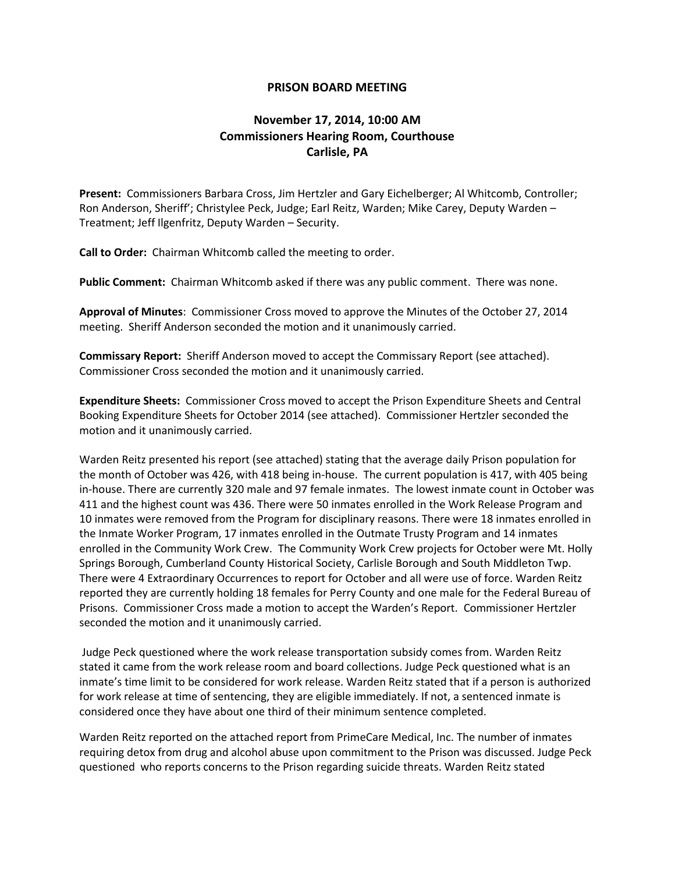## **PRISON BOARD MEETING**

## **November 17, 2014, 10:00 AM Commissioners Hearing Room, Courthouse Carlisle, PA**

**Present:** Commissioners Barbara Cross, Jim Hertzler and Gary Eichelberger; Al Whitcomb, Controller; Ron Anderson, Sheriff'; Christylee Peck, Judge; Earl Reitz, Warden; Mike Carey, Deputy Warden – Treatment; Jeff Ilgenfritz, Deputy Warden – Security.

**Call to Order:** Chairman Whitcomb called the meeting to order.

**Public Comment:** Chairman Whitcomb asked if there was any public comment. There was none.

**Approval of Minutes**: Commissioner Cross moved to approve the Minutes of the October 27, 2014 meeting. Sheriff Anderson seconded the motion and it unanimously carried.

**Commissary Report:** Sheriff Anderson moved to accept the Commissary Report (see attached). Commissioner Cross seconded the motion and it unanimously carried.

**Expenditure Sheets:** Commissioner Cross moved to accept the Prison Expenditure Sheets and Central Booking Expenditure Sheets for October 2014 (see attached). Commissioner Hertzler seconded the motion and it unanimously carried.

Warden Reitz presented his report (see attached) stating that the average daily Prison population for the month of October was 426, with 418 being in-house. The current population is 417, with 405 being in-house. There are currently 320 male and 97 female inmates. The lowest inmate count in October was 411 and the highest count was 436. There were 50 inmates enrolled in the Work Release Program and 10 inmates were removed from the Program for disciplinary reasons. There were 18 inmates enrolled in the Inmate Worker Program, 17 inmates enrolled in the Outmate Trusty Program and 14 inmates enrolled in the Community Work Crew. The Community Work Crew projects for October were Mt. Holly Springs Borough, Cumberland County Historical Society, Carlisle Borough and South Middleton Twp. There were 4 Extraordinary Occurrences to report for October and all were use of force. Warden Reitz reported they are currently holding 18 females for Perry County and one male for the Federal Bureau of Prisons. Commissioner Cross made a motion to accept the Warden's Report. Commissioner Hertzler seconded the motion and it unanimously carried.

Judge Peck questioned where the work release transportation subsidy comes from. Warden Reitz stated it came from the work release room and board collections. Judge Peck questioned what is an inmate's time limit to be considered for work release. Warden Reitz stated that if a person is authorized for work release at time of sentencing, they are eligible immediately. If not, a sentenced inmate is considered once they have about one third of their minimum sentence completed.

Warden Reitz reported on the attached report from PrimeCare Medical, Inc. The number of inmates requiring detox from drug and alcohol abuse upon commitment to the Prison was discussed. Judge Peck questioned who reports concerns to the Prison regarding suicide threats. Warden Reitz stated